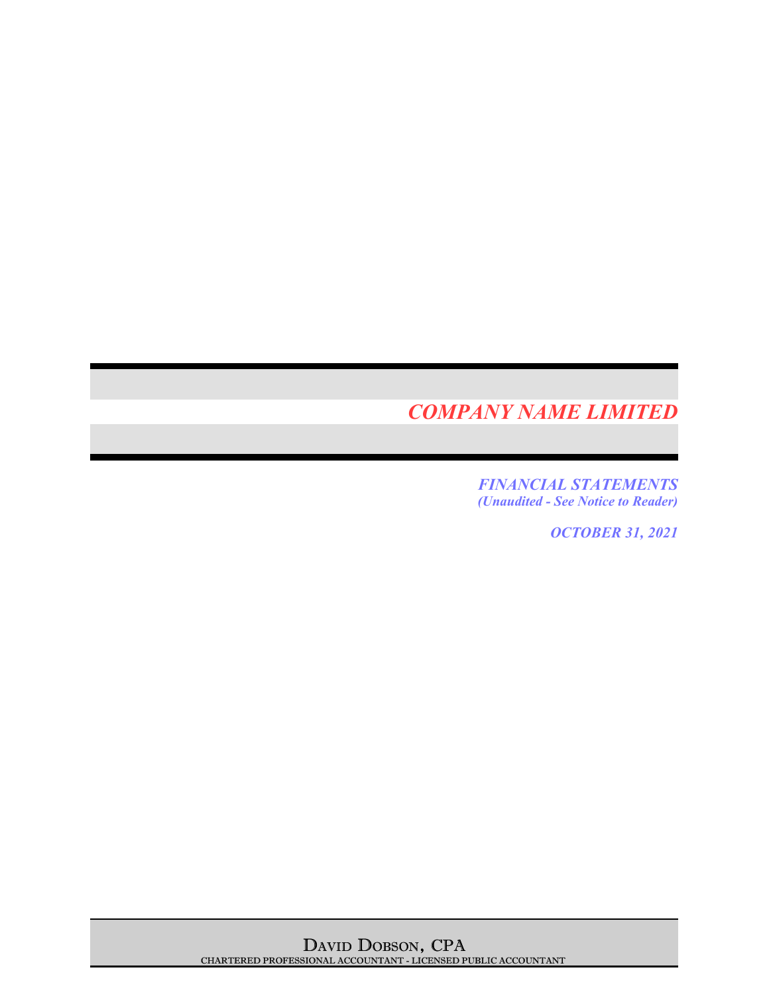*FINANCIAL STATEMENTS (Unaudited - See Notice to Reader)*

*OCTOBER 31, 2021*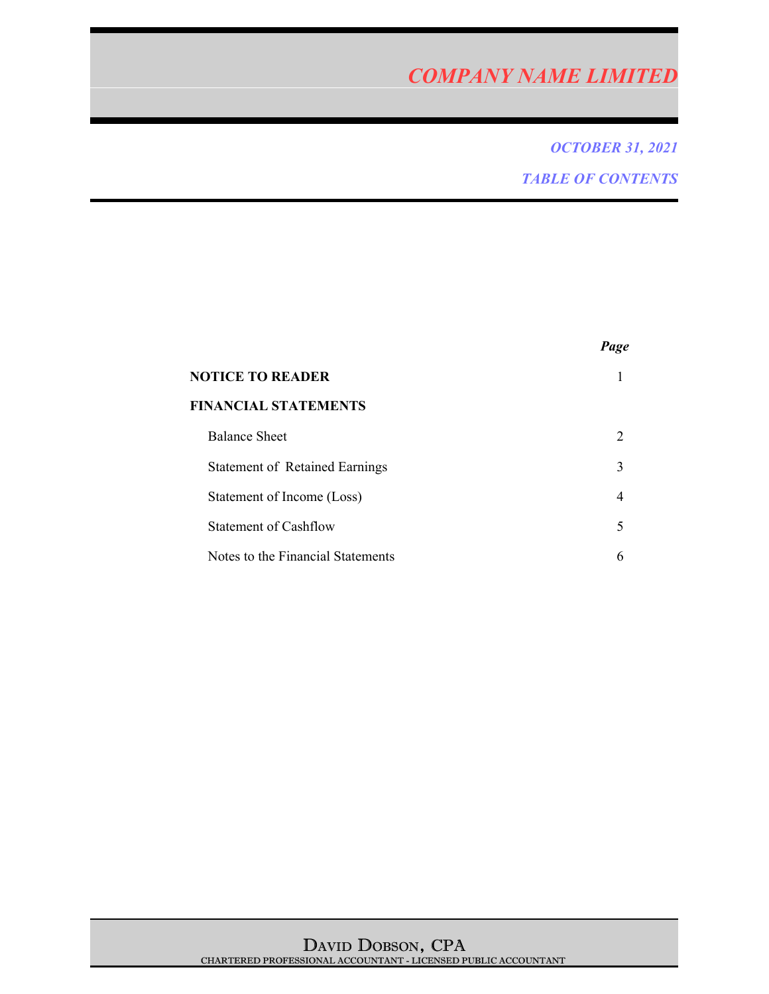# *OCTOBER 31, 2021 TABLE OF CONTENTS*

|                                       | Page |
|---------------------------------------|------|
| NOTICE TO READER                      |      |
| <b>FINANCIAL STATEMENTS</b>           |      |
| <b>Balance Sheet</b>                  | 2    |
| <b>Statement of Retained Earnings</b> | 3    |
| Statement of Income (Loss)            | 4    |
| <b>Statement of Cashflow</b>          | 5    |
| Notes to the Financial Statements     |      |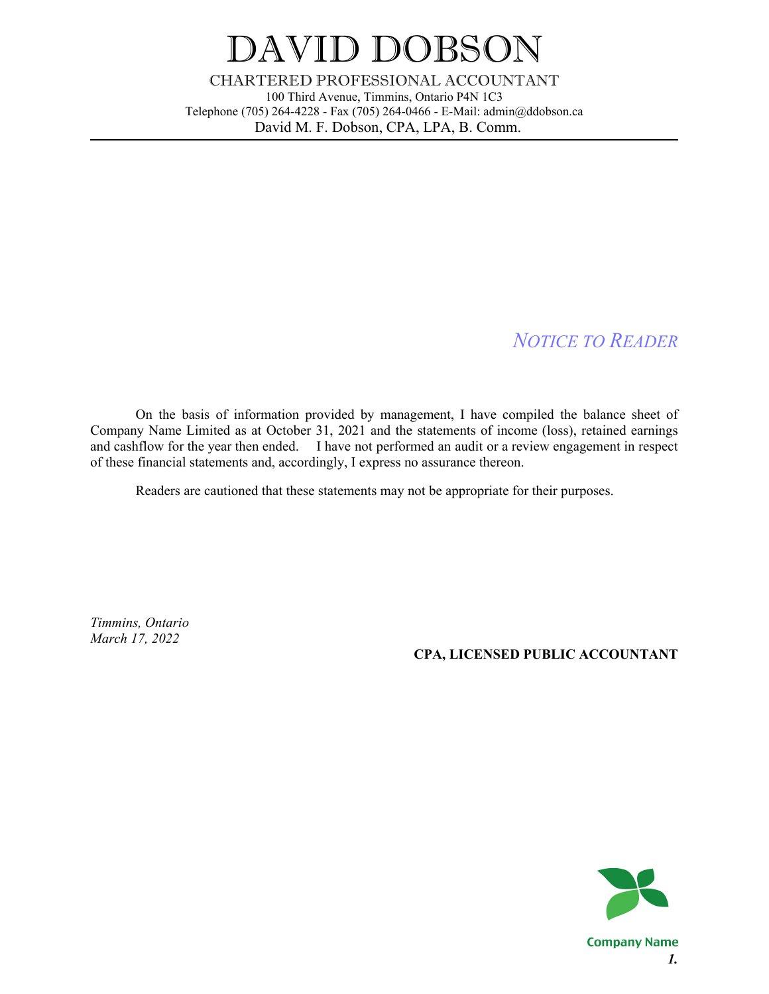# DAVID DOBSON

CHARTERED PROFESSIONAL ACCOUNTANT 100 Third Avenue, Timmins, Ontario P4N 1C3 Telephone (705) 264-4228 - Fax (705) 264-0466 - E-Mail: admin@ddobson.ca David M. F. Dobson, CPA, LPA, B. Comm.

# *NOTICE TO READER*

On the basis of information provided by management, I have compiled the balance sheet of Company Name Limited as at October 31, 2021 and the statements of income (loss), retained earnings and cashflow for the year then ended. I have not performed an audit or a review engagement in respect of these financial statements and, accordingly, I express no assurance thereon.

Readers are cautioned that these statements may not be appropriate for their purposes.

*Timmins, Ontario March 17, 2022*

### **CPA, LICENSED PUBLIC ACCOUNTANT**



**Company Name** *1.*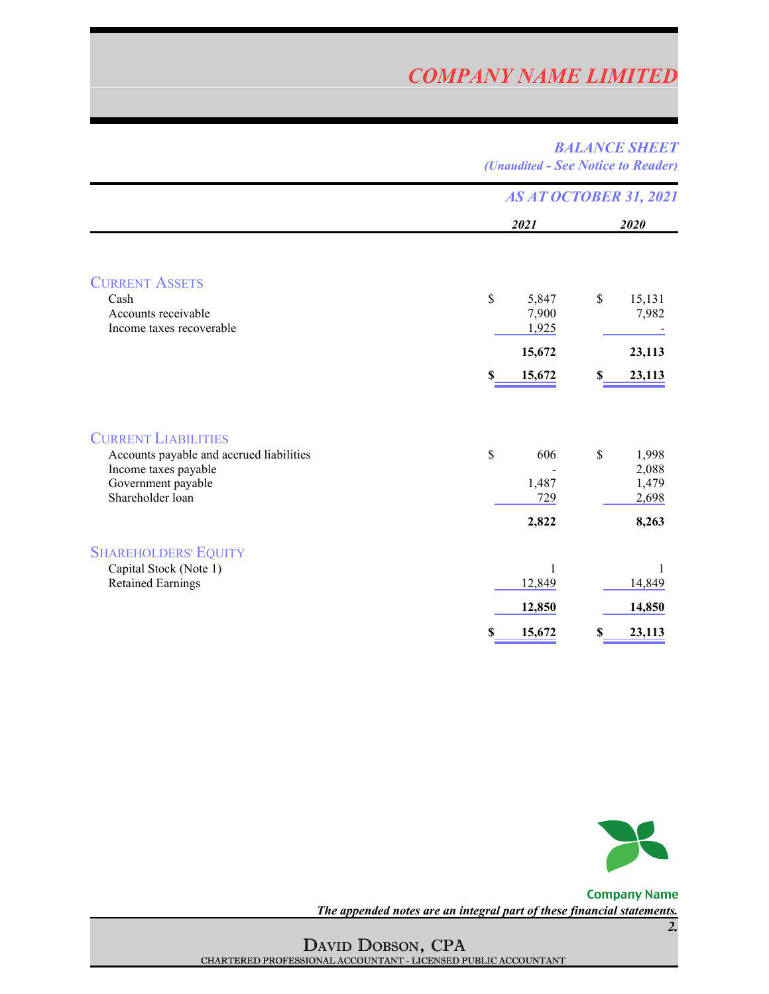### *BALANCE SHEET (Unaudited - See Notice to Reader)*

|                                                                                                                                          | <b>AS AT OCTOBER 31, 2021</b>                                   |                                                           |  |
|------------------------------------------------------------------------------------------------------------------------------------------|-----------------------------------------------------------------|-----------------------------------------------------------|--|
|                                                                                                                                          | 2021                                                            | 2020                                                      |  |
| <b>CURRENT ASSETS</b><br>Cash<br>Accounts receivable<br>Income taxes recoverable                                                         | $\mathbf S$<br>5,847<br>7,900<br>1,925<br>15,672<br>15,672<br>S | $\mathbb{S}$<br>15,131<br>7,982<br>23,113<br>23,113<br>S  |  |
| <b>CURRENT LIABILITIES</b><br>Accounts payable and accrued liabilities<br>Income taxes payable<br>Government payable<br>Shareholder loan | $\mathbf S$<br>606<br>1,487<br>729<br>2,822                     | $\mathbb{S}$<br>1,998<br>2,088<br>1,479<br>2,698<br>8,263 |  |
| <b>SHAREHOLDERS' EQUITY</b><br>Capital Stock (Note 1)<br><b>Retained Earnings</b>                                                        | 1<br>12,849<br>12,850<br>15,672<br>S                            | 14,849<br>14,850<br>23,113<br>S                           |  |



**Company Name** *The appended notes are an integral part of these financial statements.*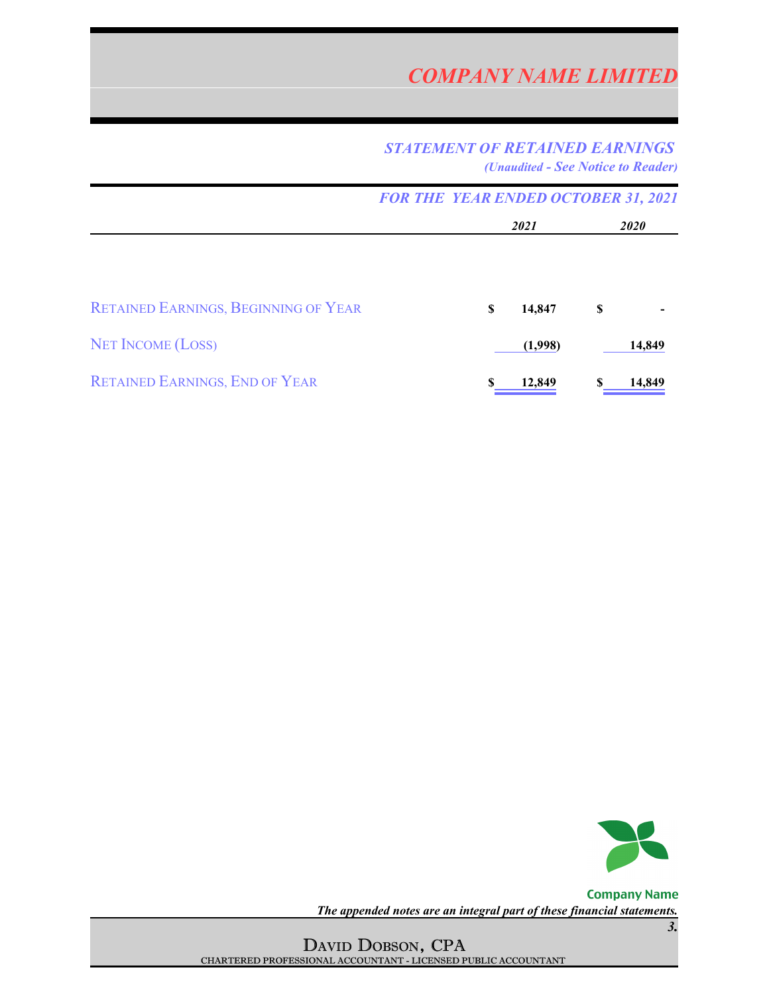## *STATEMENT OF RETAINED EARNINGS (Unaudited - See Notice to Reader)*

|                                             | <b>FOR THE YEAR ENDED OCTOBER 31, 2021</b> |      |         |             |        |
|---------------------------------------------|--------------------------------------------|------|---------|-------------|--------|
|                                             |                                            | 2021 |         | <i>2020</i> |        |
|                                             |                                            |      |         |             |        |
| <b>RETAINED EARNINGS, BEGINNING OF YEAR</b> |                                            | S    | 14,847  | S           |        |
| <b>NET INCOME (LOSS)</b>                    |                                            |      | (1,998) |             | 14,849 |
| <b>RETAINED EARNINGS, END OF YEAR</b>       |                                            |      | 12,849  |             | 14,849 |



**Company Name** *The appended notes are an integral part of these financial statements.*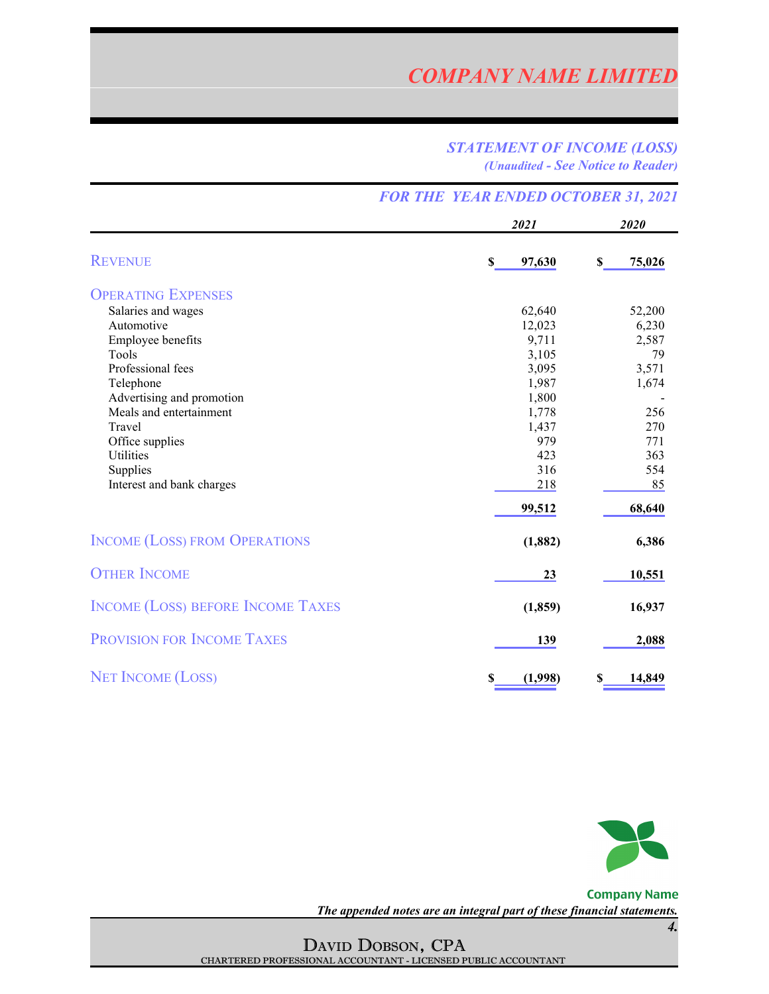### *STATEMENT OF INCOME (LOSS) (Unaudited - See Notice to Reader)*

|                                          |                       | <b>FOR THE YEAR ENDED OCTOBER 31, 2021</b> |  |  |  |
|------------------------------------------|-----------------------|--------------------------------------------|--|--|--|
|                                          | 2021                  | 2020                                       |  |  |  |
| <b>REVENUE</b>                           | $\mathbf S$<br>97,630 | \$<br>75,026                               |  |  |  |
| <b>OPERATING EXPENSES</b>                |                       |                                            |  |  |  |
| Salaries and wages                       | 62,640                | 52,200                                     |  |  |  |
| Automotive                               | 12,023                | 6,230                                      |  |  |  |
| Employee benefits                        | 9,711                 | 2,587                                      |  |  |  |
| Tools                                    | 3,105                 | 79                                         |  |  |  |
| Professional fees                        | 3,095                 | 3,571                                      |  |  |  |
| Telephone                                | 1,987                 | 1,674                                      |  |  |  |
| Advertising and promotion                | 1,800                 |                                            |  |  |  |
| Meals and entertainment                  | 1,778                 | 256                                        |  |  |  |
| Travel                                   | 1,437                 | 270                                        |  |  |  |
| Office supplies                          | 979                   | 771                                        |  |  |  |
| Utilities                                | 423                   | 363                                        |  |  |  |
| Supplies<br>Interest and bank charges    | 316<br>218            | 554<br>85                                  |  |  |  |
|                                          |                       |                                            |  |  |  |
|                                          | 99,512                | 68,640                                     |  |  |  |
| <b>INCOME (LOSS) FROM OPERATIONS</b>     | (1, 882)              | 6,386                                      |  |  |  |
| <b>OTHER INCOME</b>                      | 23                    | 10,551                                     |  |  |  |
| <b>INCOME (LOSS) BEFORE INCOME TAXES</b> | (1, 859)              | 16,937                                     |  |  |  |
| <b>PROVISION FOR INCOME TAXES</b>        | 139                   | 2,088                                      |  |  |  |
| <b>NET INCOME (LOSS)</b>                 | (1,998)<br>S          | 14,849<br>S                                |  |  |  |



**Company Name** *The appended notes are an integral part of these financial statements.*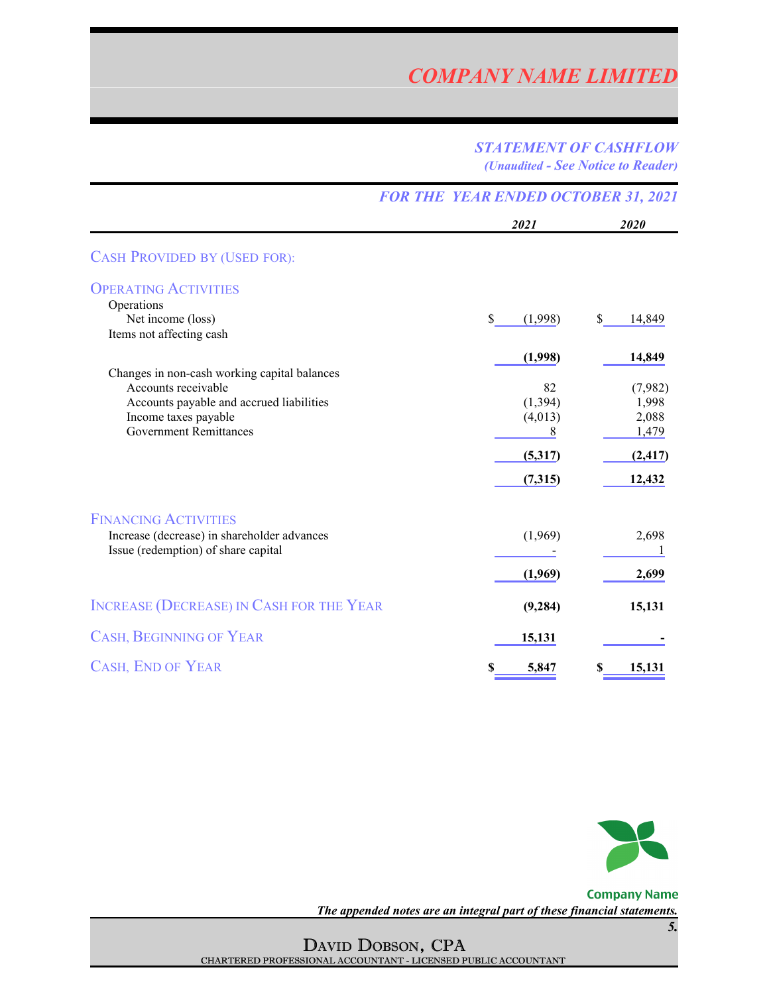### *STATEMENT OF CASHFLOW (Unaudited - See Notice to Reader)*

۰

|                                                                                                                 | <b>FOR THE YEAR ENDED OCTOBER 31, 2021</b> |                         |  |
|-----------------------------------------------------------------------------------------------------------------|--------------------------------------------|-------------------------|--|
|                                                                                                                 | 2021                                       | 2020                    |  |
| <b>CASH PROVIDED BY (USED FOR):</b>                                                                             |                                            |                         |  |
| <b>OPERATING ACTIVITIES</b>                                                                                     |                                            |                         |  |
| Operations<br>Net income (loss)<br>Items not affecting cash                                                     | \$<br>(1,998)                              | <sup>\$</sup><br>14,849 |  |
|                                                                                                                 | (1,998)                                    | 14,849                  |  |
| Changes in non-cash working capital balances<br>Accounts receivable<br>Accounts payable and accrued liabilities | 82<br>(1, 394)                             | (7,982)<br>1,998        |  |
| Income taxes payable<br><b>Government Remittances</b>                                                           | (4,013)<br>8                               | 2,088<br>1,479          |  |
|                                                                                                                 | (5,317)                                    | (2, 417)                |  |
|                                                                                                                 | (7,315)                                    | 12,432                  |  |
| <b>FINANCING ACTIVITIES</b>                                                                                     |                                            |                         |  |
| Increase (decrease) in shareholder advances<br>Issue (redemption) of share capital                              | (1,969)                                    | 2,698                   |  |
|                                                                                                                 | (1,969)                                    | 2,699                   |  |
| <b>INCREASE (DECREASE) IN CASH FOR THE YEAR</b>                                                                 | (9, 284)                                   | 15,131                  |  |
| <b>CASH, BEGINNING OF YEAR</b>                                                                                  | 15,131                                     |                         |  |
| <b>CASH, END OF YEAR</b>                                                                                        | 5,847<br>S                                 | 15,131                  |  |



**Company Name** *The appended notes are an integral part of these financial statements.*